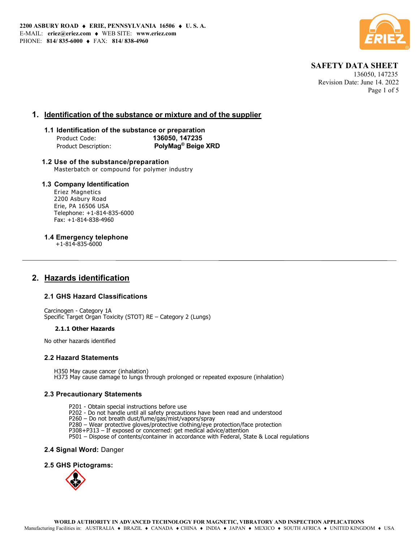

## SAFETY DATA SHEET

 136050, 147235 Revision Date: June 14. 2022 Page 1 of 5

## 1. Identification of the substance or mixture and of the supplier

## 1.1 Identification of the substance or preparation Product Code: 136050, 147235 Product Description: PolyMag<sup>®</sup> Beige XRD

### 1.2 Use of the substance/preparation Masterbatch or compound for polymer industry

## 1.3 Company Identification

Eriez Magnetics 2200 Asbury Road Erie, PA 16506 USA Telephone: +1-814-835-6000 Fax: +1-814-838-4960

1.4 Emergency telephone

+1-814-835-6000

## 2. Hazards identification

## 2.1 GHS Hazard Classifications

Carcinogen - Category 1A Specific Target Organ Toxicity (STOT) RE – Category 2 (Lungs)

#### 2.1.1 Other Hazards

No other hazards identified

## 2.2 Hazard Statements

H350 May cause cancer (inhalation) H373 May cause damage to lungs through prolonged or repeated exposure (inhalation)

## 2.3 Precautionary Statements

- P201 Obtain special instructions before use
- P202 Do not handle until all safety precautions have been read and understood
- P260 Do not breath dust/fume/gas/mist/vapors/spray
- P280 Wear protective gloves/protective clothing/eye protection/face protection
- P308+P313 If exposed or concerned: get medical advice/attention
- P501 Dispose of contents/container in accordance with Federal, State & Local regulations

2.4 Signal Word: Danger

2.5 GHS Pictograms:

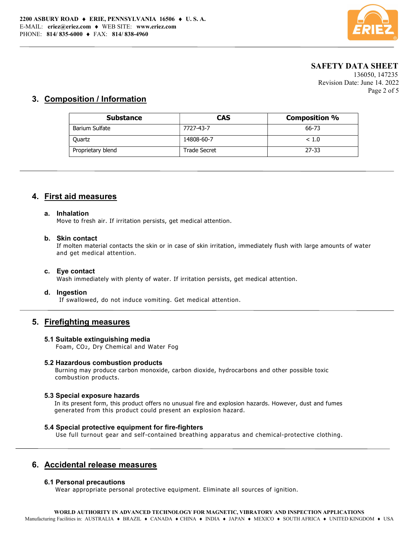

## SAFETY DATA SHEET

 136050, 147235 Revision Date: June 14. 2022 Page 2 of 5

## 3. Composition / Information

| <b>Substance</b>  | CAS                 | <b>Composition %</b> |
|-------------------|---------------------|----------------------|
| Barium Sulfate    | 7727-43-7           | 66-73                |
| Quartz            | 14808-60-7          | ~< 1.0               |
| Proprietary blend | <b>Trade Secret</b> | $27 - 33$            |

## 4. First aid measures

#### a. Inhalation

Move to fresh air. If irritation persists, get medical attention.

### b. Skin contact

If molten material contacts the skin or in case of skin irritation, immediately flush with large amounts of water and get medical attention.

#### c. Eye contact

Wash immediately with plenty of water. If irritation persists, get medical attention.

### d. Ingestion

If swallowed, do not induce vomiting. Get medical attention.

## 5. Firefighting measures

#### 5.1 Suitable extinguishing media

Foam, CO2, Dry Chemical and Water Fog

#### 5.2 Hazardous combustion products

Burning may produce carbon monoxide, carbon dioxide, hydrocarbons and other possible toxic combustion products.

### 5.3 Special exposure hazards

In its present form, this product offers no unusual fire and explosion hazards. However, dust and fumes generated from this product could present an explosion hazard.

### 5.4 Special protective equipment for fire-fighters

Use full turnout gear and self-contained breathing apparatus and chemical-protective clothing.

## 6. Accidental release measures

#### 6.1 Personal precautions

Wear appropriate personal protective equipment. Eliminate all sources of ignition.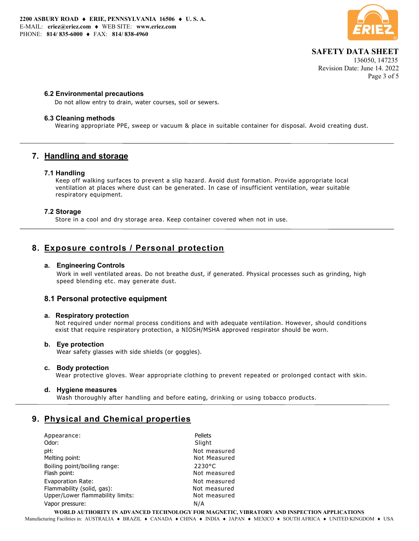

# SAFETY DATA SHEET

 136050, 147235 Revision Date: June 14. 2022 Page 3 of 5

### 6.2 Environmental precautions

Do not allow entry to drain, water courses, soil or sewers.

### 6.3 Cleaning methods

Wearing appropriate PPE, sweep or vacuum & place in suitable container for disposal. Avoid creating dust.

## 7. Handling and storage

### 7.1 Handling

Keep off walking surfaces to prevent a slip hazard. Avoid dust formation. Provide appropriate local ventilation at places where dust can be generated. In case of insufficient ventilation, wear suitable respiratory equipment.

## 7.2 Storage

Store in a cool and dry storage area. Keep container covered when not in use.

## 8. Exposure controls / Personal protection

### a. Engineering Controls

Work in well ventilated areas. Do not breathe dust, if generated. Physical processes such as grinding, high speed blending etc. may generate dust.

## 8.1 Personal protective equipment

#### a. Respiratory protection

 Not required under normal process conditions and with adequate ventilation. However, should conditions exist that require respiratory protection, a NIOSH/MSHA approved respirator should be worn.

## b. Eye protection

Wear safety glasses with side shields (or goggles).

#### c. Body protection

Wear protective gloves. Wear appropriate clothing to prevent repeated or prolonged contact with skin.

#### d. Hygiene measures

Wash thoroughly after handling and before eating, drinking or using tobacco products.

## 9. Physical and Chemical properties

| Appearance:                      | Pellets          |
|----------------------------------|------------------|
| Odor:                            | Slight           |
| pH:                              | Not measured     |
| Melting point:                   | Not Measured     |
| Boiling point/boiling range:     | $2230^{\circ}$ C |
| Flash point:                     | Not measured     |
| Evaporation Rate:                | Not measured     |
| Flammability (solid, gas):       | Not measured     |
| Upper/Lower flammability limits: | Not measured     |
| Vapor pressure:                  | N/A              |

WORLD AUTHORITY IN ADVANCED TECHNOLOGY FOR MAGNETIC, VIBRATORY AND INSPECTION APPLICATIONS Manufacturing Facilities in: AUSTRALIA • BRAZIL • CANADA • CHINA • INDIA • JAPAN • MEXICO • SOUTH AFRICA • UNITED KINGDOM • USA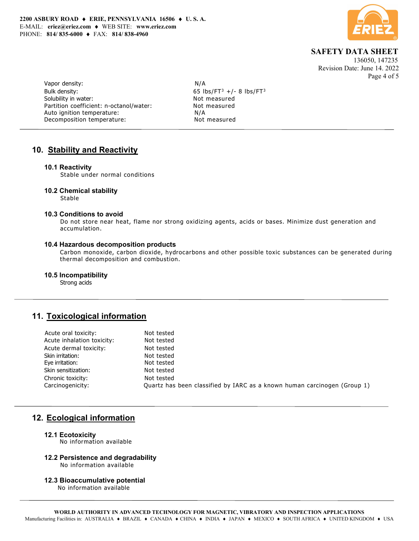

 SAFETY DATA SHEET 136050, 147235

Revision Date: June 14. 2022 Page 4 of 5

Vapor density: N/A Bulk density: Solubility in water: Not measured Partition coefficient: n-octanol/water: Not measured Auto ignition temperature:  $N/A$ <br>Decomposition temperature: Not measured Decomposition temperature:

65 lbs/FT $3 +/- 8$  lbs/FT $3$ 

## 10. Stability and Reactivity

### 10.1 Reactivity

Stable under normal conditions

### 10.2 Chemical stability

Stable

### 10.3 Conditions to avoid

Do not store near heat, flame nor strong oxidizing agents, acids or bases. Minimize dust generation and accumulation.

#### 10.4 Hazardous decomposition products

Carbon monoxide, carbon dioxide, hydrocarbons and other possible toxic substances can be generated during thermal decomposition and combustion.

#### 10.5 Incompatibility

Strong acids

## 11. Toxicological information

| Acute oral toxicity:       | Not tested                                                               |
|----------------------------|--------------------------------------------------------------------------|
| Acute inhalation toxicity: | Not tested                                                               |
| Acute dermal toxicity:     | Not tested                                                               |
| Skin irritation:           | Not tested                                                               |
| Eye irritation:            | Not tested                                                               |
| Skin sensitization:        | Not tested                                                               |
| Chronic toxicity:          | Not tested                                                               |
| Carcinogenicity:           | Ouartz has been classified by IARC as a known human carcinogen (Group 1) |
|                            |                                                                          |

## 12. Ecological information

#### 12.1 Ecotoxicity

No information available

## 12.2 Persistence and degradability

No information available

#### 12.3 Bioaccumulative potential

No information available